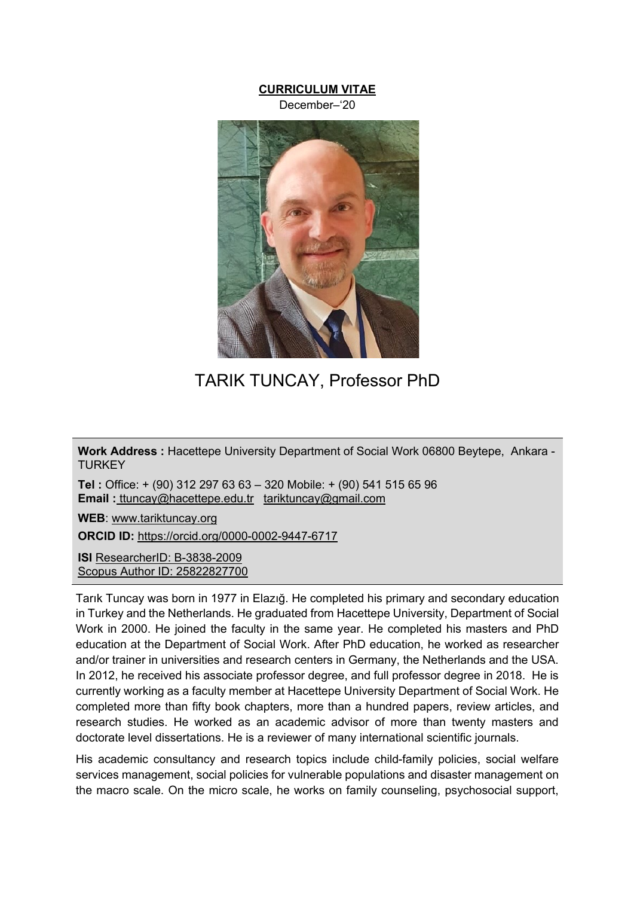# **CURRICULUM VITAE**

December–'20



TARIK TUNCAY, Professor PhD

**Work Address :** Hacettepe University Department of Social Work 06800 Beytepe, Ankara - **TURKEY** 

**Tel :** Office: + (90) 312 297 63 63 – 320 Mobile: + (90) 541 515 65 96 **Email :** ttuncay@hacettepe.edu.tr tariktuncay@gmail.com

**WEB**: www.tariktuncay.org

**ORCID ID:** https://orcid.org/0000-0002-9447-6717

**ISI** ResearcherID: B-3838-2009 Scopus Author ID: 25822827700

Tarık Tuncay was born in 1977 in Elazığ. He completed his primary and secondary education in Turkey and the Netherlands. He graduated from Hacettepe University, Department of Social Work in 2000. He joined the faculty in the same year. He completed his masters and PhD education at the Department of Social Work. After PhD education, he worked as researcher and/or trainer in universities and research centers in Germany, the Netherlands and the USA. In 2012, he received his associate professor degree, and full professor degree in 2018. He is currently working as a faculty member at Hacettepe University Department of Social Work. He completed more than fifty book chapters, more than a hundred papers, review articles, and research studies. He worked as an academic advisor of more than twenty masters and doctorate level dissertations. He is a reviewer of many international scientific journals.

His academic consultancy and research topics include child-family policies, social welfare services management, social policies for vulnerable populations and disaster management on the macro scale. On the micro scale, he works on family counseling, psychosocial support,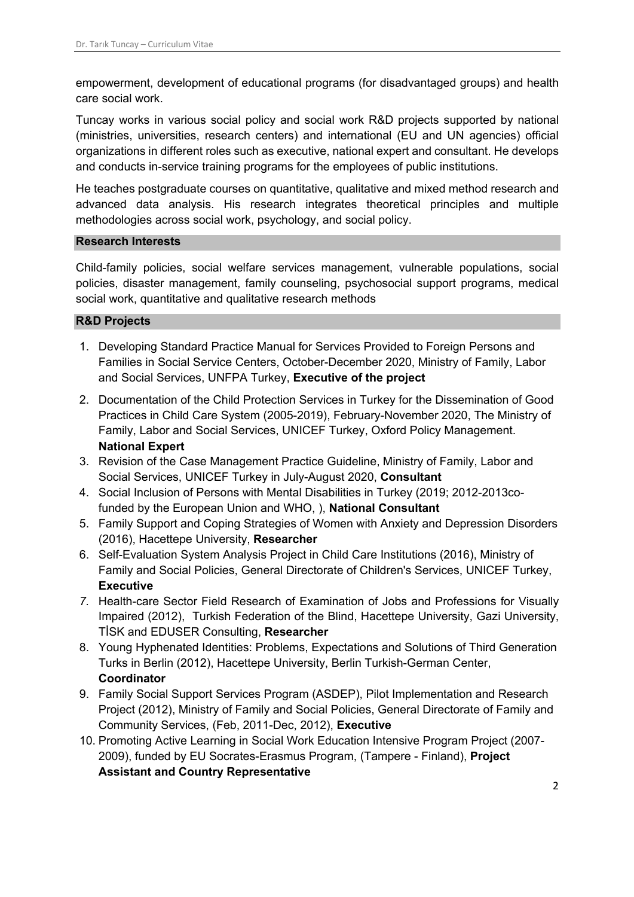empowerment, development of educational programs (for disadvantaged groups) and health care social work.

Tuncay works in various social policy and social work R&D projects supported by national (ministries, universities, research centers) and international (EU and UN agencies) official organizations in different roles such as executive, national expert and consultant. He develops and conducts in-service training programs for the employees of public institutions.

He teaches postgraduate courses on quantitative, qualitative and mixed method research and advanced data analysis. His research integrates theoretical principles and multiple methodologies across social work, psychology, and social policy.

## **Research Interests**

Child-family policies, social welfare services management, vulnerable populations, social policies, disaster management, family counseling, psychosocial support programs, medical social work, quantitative and qualitative research methods

## **R&D Projects**

- 1. Developing Standard Practice Manual for Services Provided to Foreign Persons and Families in Social Service Centers, October-December 2020, Ministry of Family, Labor and Social Services, UNFPA Turkey, **Executive of the project**
- 2. Documentation of the Child Protection Services in Turkey for the Dissemination of Good Practices in Child Care System (2005-2019), February-November 2020, The Ministry of Family, Labor and Social Services, UNICEF Turkey, Oxford Policy Management. **National Expert**
- 3. Revision of the Case Management Practice Guideline, Ministry of Family, Labor and Social Services, UNICEF Turkey in July-August 2020, **Consultant**
- 4. Social Inclusion of Persons with Mental Disabilities in Turkey (2019; 2012-2013cofunded by the European Union and WHO, ), **National Consultant**
- 5. Family Support and Coping Strategies of Women with Anxiety and Depression Disorders (2016), Hacettepe University, **Researcher**
- 6. Self-Evaluation System Analysis Project in Child Care Institutions (2016), Ministry of Family and Social Policies, General Directorate of Children's Services, UNICEF Turkey, **Executive**
- *7.* Health-care Sector Field Research of Examination of Jobs and Professions for Visually Impaired (2012), Turkish Federation of the Blind, Hacettepe University, Gazi University, TİSK and EDUSER Consulting, **Researcher**
- 8. Young Hyphenated Identities: Problems, Expectations and Solutions of Third Generation Turks in Berlin (2012), Hacettepe University, Berlin Turkish-German Center, **Coordinator**
- 9. Family Social Support Services Program (ASDEP), Pilot Implementation and Research Project (2012), Ministry of Family and Social Policies, General Directorate of Family and Community Services, (Feb, 2011-Dec, 2012), **Executive**
- 10. Promoting Active Learning in Social Work Education Intensive Program Project (2007- 2009), funded by EU Socrates-Erasmus Program, (Tampere - Finland), **Project Assistant and Country Representative**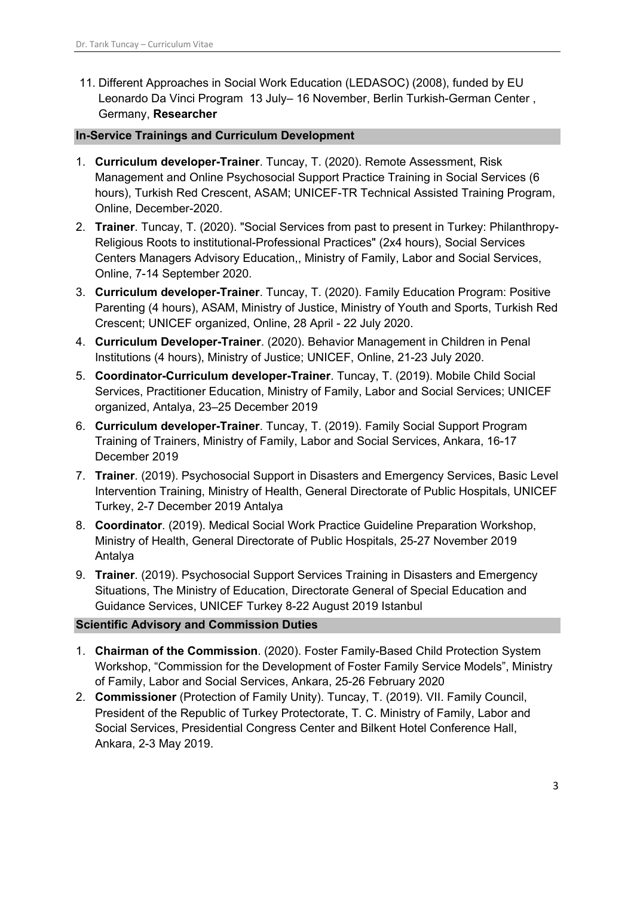11. Different Approaches in Social Work Education (LEDASOC) (2008), funded by EU Leonardo Da Vinci Program 13 July– 16 November, Berlin Turkish-German Center , Germany, **Researcher**

## **In-Service Trainings and Curriculum Development**

- 1. **Curriculum developer-Trainer**. Tuncay, T. (2020). Remote Assessment, Risk Management and Online Psychosocial Support Practice Training in Social Services (6 hours), Turkish Red Crescent, ASAM; UNICEF-TR Technical Assisted Training Program, Online, December-2020.
- 2. **Trainer**. Tuncay, T. (2020). "Social Services from past to present in Turkey: Philanthropy-Religious Roots to institutional-Professional Practices" (2x4 hours), Social Services Centers Managers Advisory Education,, Ministry of Family, Labor and Social Services, Online, 7-14 September 2020.
- 3. **Curriculum developer-Trainer**. Tuncay, T. (2020). Family Education Program: Positive Parenting (4 hours), ASAM, Ministry of Justice, Ministry of Youth and Sports, Turkish Red Crescent; UNICEF organized, Online, 28 April - 22 July 2020.
- 4. **Curriculum Developer-Trainer**. (2020). Behavior Management in Children in Penal Institutions (4 hours), Ministry of Justice; UNICEF, Online, 21-23 July 2020.
- 5. **Coordinator-Curriculum developer-Trainer**. Tuncay, T. (2019). Mobile Child Social Services, Practitioner Education, Ministry of Family, Labor and Social Services; UNICEF organized, Antalya, 23–25 December 2019
- 6. **Curriculum developer-Trainer**. Tuncay, T. (2019). Family Social Support Program Training of Trainers, Ministry of Family, Labor and Social Services, Ankara, 16-17 December 2019
- 7. **Trainer**. (2019). Psychosocial Support in Disasters and Emergency Services, Basic Level Intervention Training, Ministry of Health, General Directorate of Public Hospitals, UNICEF Turkey, 2-7 December 2019 Antalya
- 8. **Coordinator**. (2019). Medical Social Work Practice Guideline Preparation Workshop, Ministry of Health, General Directorate of Public Hospitals, 25-27 November 2019 Antalya
- 9. **Trainer**. (2019). Psychosocial Support Services Training in Disasters and Emergency Situations, The Ministry of Education, Directorate General of Special Education and Guidance Services, UNICEF Turkey 8-22 August 2019 Istanbul

## **Scientific Advisory and Commission Duties**

- 1. **Chairman of the Commission**. (2020). Foster Family-Based Child Protection System Workshop, "Commission for the Development of Foster Family Service Models", Ministry of Family, Labor and Social Services, Ankara, 25-26 February 2020
- 2. **Commissioner** (Protection of Family Unity). Tuncay, T. (2019). VII. Family Council, President of the Republic of Turkey Protectorate, T. C. Ministry of Family, Labor and Social Services, Presidential Congress Center and Bilkent Hotel Conference Hall, Ankara, 2-3 May 2019.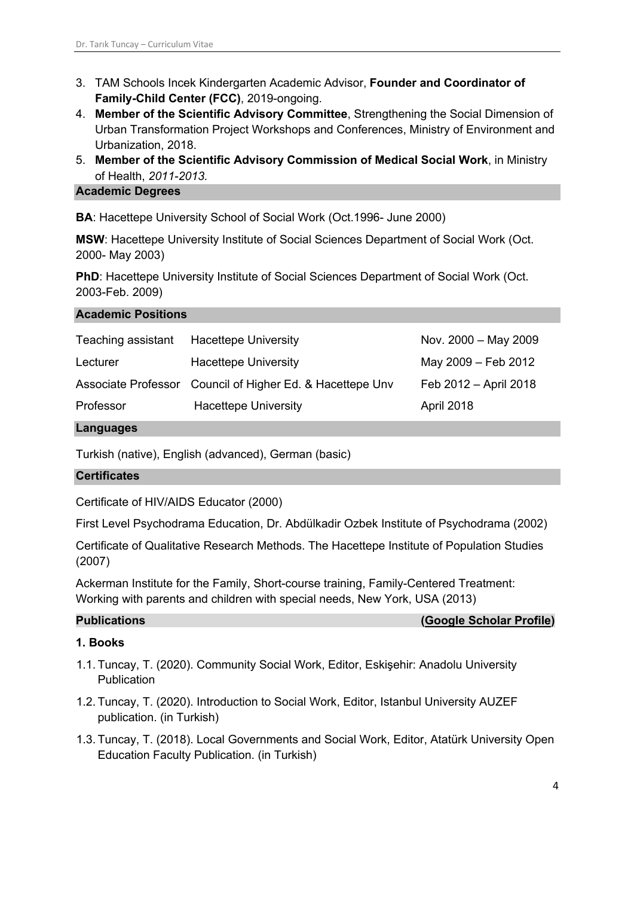- 3. TAM Schools Incek Kindergarten Academic Advisor, **Founder and Coordinator of Family-Child Center (FCC)**, 2019-ongoing.
- 4. **Member of the Scientific Advisory Committee**, Strengthening the Social Dimension of Urban Transformation Project Workshops and Conferences, Ministry of Environment and Urbanization, 2018.
- 5. **Member of the Scientific Advisory Commission of Medical Social Work**, in Ministry of Health, *2011-2013.*

## **Academic Degrees**

**BA**: Hacettepe University School of Social Work (Oct.1996- June 2000)

**MSW**: Hacettepe University Institute of Social Sciences Department of Social Work (Oct. 2000- May 2003)

**PhD:** Hacettepe University Institute of Social Sciences Department of Social Work (Oct. 2003-Feb. 2009)

## **Academic Positions**

| Teaching assistant | <b>Hacettepe University</b>                               | Nov. 2000 - May 2009  |
|--------------------|-----------------------------------------------------------|-----------------------|
| Lecturer           | <b>Hacettepe University</b>                               | May 2009 - Feb 2012   |
|                    | Associate Professor Council of Higher Ed. & Hacettepe Unv | Feb 2012 - April 2018 |
| Professor          | <b>Hacettepe University</b>                               | April 2018            |

#### **Languages**

Turkish (native), English (advanced), German (basic)

## **Certificates**

Certificate of HIV/AIDS Educator (2000)

First Level Psychodrama Education, Dr. Abdülkadir Ozbek Institute of Psychodrama (2002)

Certificate of Qualitative Research Methods. The Hacettepe Institute of Population Studies (2007)

Ackerman Institute for the Family, Short-course training, Family-Centered Treatment: Working with parents and children with special needs, New York, USA (2013)

**Publications (Google Scholar Profile)**

## **1. Books**

- 1.1. Tuncay, T. (2020). Community Social Work, Editor, Eskişehir: Anadolu University **Publication**
- 1.2. Tuncay, T. (2020). Introduction to Social Work, Editor, Istanbul University AUZEF publication. (in Turkish)
- 1.3. Tuncay, T. (2018). Local Governments and Social Work, Editor, Atatürk University Open Education Faculty Publication. (in Turkish)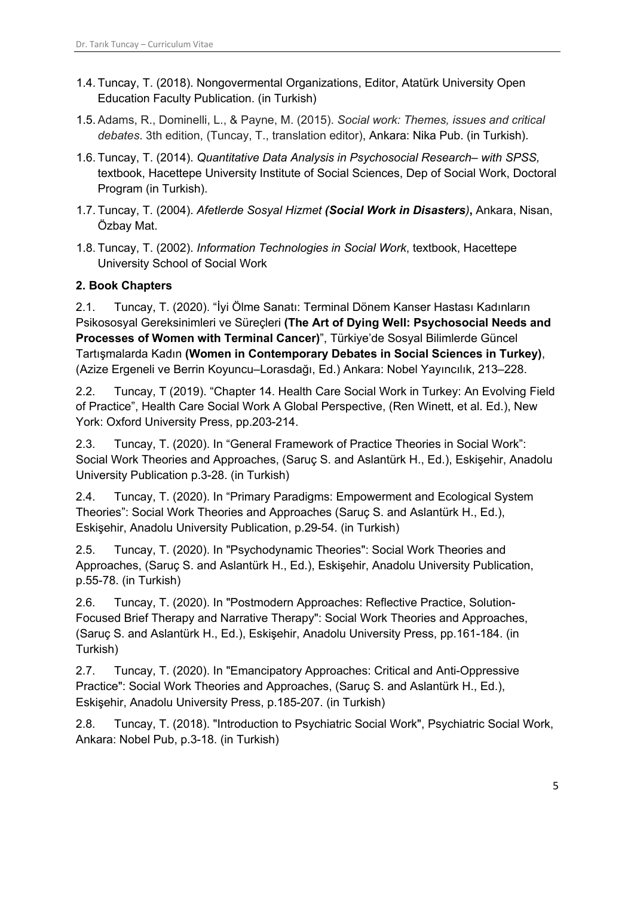- 1.4. Tuncay, T. (2018). Nongovermental Organizations, Editor, Atatürk University Open Education Faculty Publication. (in Turkish)
- 1.5. Adams, R., Dominelli, L., & Payne, M. (2015). *Social work: Themes, issues and critical debates*. 3th edition, (Tuncay, T., translation editor), Ankara: Nika Pub. (in Turkish).
- 1.6. Tuncay, T. (2014). *Quantitative Data Analysis in Psychosocial Research– with SPSS,*  textbook, Hacettepe University Institute of Social Sciences, Dep of Social Work, Doctoral Program (in Turkish).
- 1.7. Tuncay, T. (2004). *Afetlerde Sosyal Hizmet (Social Work in Disasters)***,** Ankara, Nisan, Özbay Mat.
- 1.8. Tuncay, T. (2002). *Information Technologies in Social Work*, textbook, Hacettepe University School of Social Work

# **2. Book Chapters**

2.1. Tuncay, T. (2020). "İyi Ölme Sanatı: Terminal Dönem Kanser Hastası Kadınların Psikososyal Gereksinimleri ve Süreçleri **(The Art of Dying Well: Psychosocial Needs and Processes of Women with Terminal Cancer)**", Türkiye'de Sosyal Bilimlerde Güncel Tartışmalarda Kadın **(Women in Contemporary Debates in Social Sciences in Turkey)**, (Azize Ergeneli ve Berrin Koyuncu–Lorasdağı, Ed.) Ankara: Nobel Yayıncılık, 213–228.

2.2. Tuncay, T (2019). "Chapter 14. Health Care Social Work in Turkey: An Evolving Field of Practice", Health Care Social Work A Global Perspective, (Ren Winett, et al. Ed.), New York: Oxford University Press, pp.203-214.

2.3. Tuncay, T. (2020). In "General Framework of Practice Theories in Social Work": Social Work Theories and Approaches, (Saruç S. and Aslantürk H., Ed.), Eskişehir, Anadolu University Publication p.3-28. (in Turkish)

2.4. Tuncay, T. (2020). In "Primary Paradigms: Empowerment and Ecological System Theories": Social Work Theories and Approaches (Saruç S. and Aslantürk H., Ed.), Eskişehir, Anadolu University Publication, p.29-54. (in Turkish)

2.5. Tuncay, T. (2020). In "Psychodynamic Theories": Social Work Theories and Approaches, (Saruç S. and Aslantürk H., Ed.), Eskişehir, Anadolu University Publication, p.55-78. (in Turkish)

2.6. Tuncay, T. (2020). In "Postmodern Approaches: Reflective Practice, Solution-Focused Brief Therapy and Narrative Therapy": Social Work Theories and Approaches, (Saruç S. and Aslantürk H., Ed.), Eskişehir, Anadolu University Press, pp.161-184. (in Turkish)

2.7. Tuncay, T. (2020). In "Emancipatory Approaches: Critical and Anti-Oppressive Practice": Social Work Theories and Approaches, (Saruç S. and Aslantürk H., Ed.), Eskişehir, Anadolu University Press, p.185-207. (in Turkish)

2.8. Tuncay, T. (2018). "Introduction to Psychiatric Social Work", Psychiatric Social Work, Ankara: Nobel Pub, p.3-18. (in Turkish)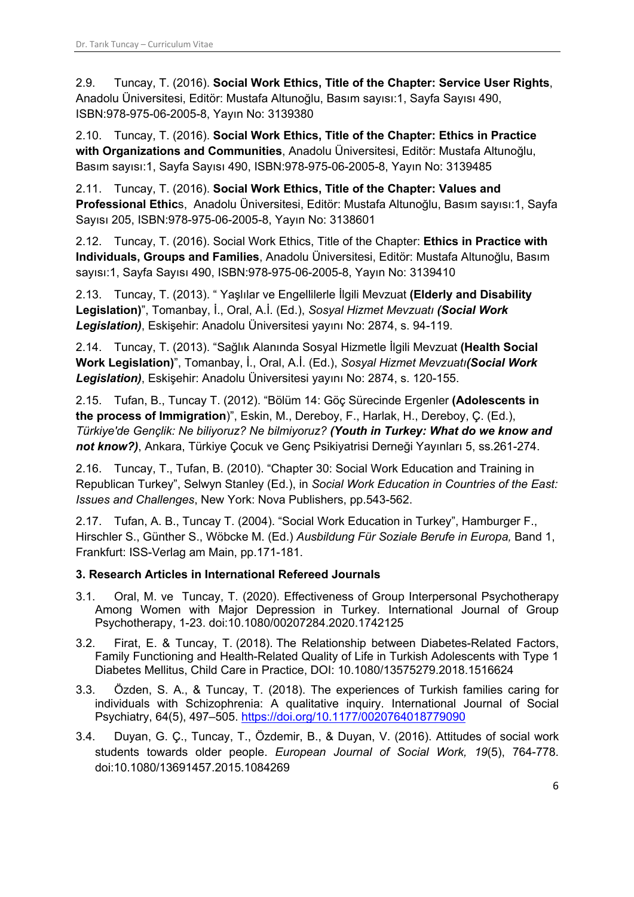2.9. Tuncay, T. (2016). **Social Work Ethics, Title of the Chapter: Service User Rights**, Anadolu Üniversitesi, Editör: Mustafa Altunoğlu, Basım sayısı:1, Sayfa Sayısı 490, ISBN:978-975-06-2005-8, Yayın No: 3139380

2.10. Tuncay, T. (2016). **Social Work Ethics, Title of the Chapter: Ethics in Practice with Organizations and Communities**, Anadolu Üniversitesi, Editör: Mustafa Altunoğlu, Basım sayısı:1, Sayfa Sayısı 490, ISBN:978-975-06-2005-8, Yayın No: 3139485

2.11. Tuncay, T. (2016). **Social Work Ethics, Title of the Chapter: Values and Professional Ethic**s, Anadolu Üniversitesi, Editör: Mustafa Altunoğlu, Basım sayısı:1, Sayfa Sayısı 205, ISBN:978-975-06-2005-8, Yayın No: 3138601

2.12. Tuncay, T. (2016). Social Work Ethics, Title of the Chapter: **Ethics in Practice with Individuals, Groups and Families**, Anadolu Üniversitesi, Editör: Mustafa Altunoğlu, Basım sayısı:1, Sayfa Sayısı 490, ISBN:978-975-06-2005-8, Yayın No: 3139410

2.13. Tuncay, T. (2013). " Yaşlılar ve Engellilerle İlgili Mevzuat **(Elderly and Disability Legislation)**", Tomanbay, İ., Oral, A.İ. (Ed.), *Sosyal Hizmet Mevzuatı (Social Work Legislation)*, Eskişehir: Anadolu Üniversitesi yayını No: 2874, s. 94-119.

2.14. Tuncay, T. (2013). "Sağlık Alanında Sosyal Hizmetle İlgili Mevzuat **(Health Social Work Legislation)**", Tomanbay, İ., Oral, A.İ. (Ed.), *Sosyal Hizmet Mevzuatı(Social Work Legislation)*, Eskişehir: Anadolu Üniversitesi yayını No: 2874, s. 120-155.

2.15. Tufan, B., Tuncay T. (2012). "Bölüm 14: Göç Sürecinde Ergenler **(Adolescents in the process of Immigration**)", Eskin, M., Dereboy, F., Harlak, H., Dereboy, Ç. (Ed.), *Türkiye'de Gençlik: Ne biliyoruz? Ne bilmiyoruz? (Youth in Turkey: What do we know and not know?)*, Ankara, Türkiye Çocuk ve Genç Psikiyatrisi Derneği Yayınları 5, ss.261-274.

2.16. Tuncay, T., Tufan, B. (2010). "Chapter 30: Social Work Education and Training in Republican Turkey", Selwyn Stanley (Ed.), in *Social Work Education in Countries of the East: Issues and Challenges*, New York: Nova Publishers, pp.543-562.

2.17. Tufan, A. B., Tuncay T. (2004). "Social Work Education in Turkey", Hamburger F., Hirschler S., Günther S., Wöbcke M. (Ed.) *Ausbildung Für Soziale Berufe in Europa,* Band 1, Frankfurt: ISS-Verlag am Main, pp.171-181.

# **3. Research Articles in International Refereed Journals**

- 3.1. Oral, M. ve Tuncay, T. (2020). Effectiveness of Group Interpersonal Psychotherapy Among Women with Major Depression in Turkey. International Journal of Group Psychotherapy, 1-23. doi:10.1080/00207284.2020.1742125
- 3.2. Firat, E. & Tuncay, T. (2018). The Relationship between Diabetes-Related Factors, Family Functioning and Health-Related Quality of Life in Turkish Adolescents with Type 1 Diabetes Mellitus, Child Care in Practice, DOI: 10.1080/13575279.2018.1516624
- 3.3. Özden, S. A., & Tuncay, T. (2018). The experiences of Turkish families caring for individuals with Schizophrenia: A qualitative inquiry. International Journal of Social Psychiatry, 64(5), 497–505. https://doi.org/10.1177/0020764018779090
- 3.4. Duyan, G. Ç., Tuncay, T., Özdemir, B., & Duyan, V. (2016). Attitudes of social work students towards older people. *European Journal of Social Work, 19*(5), 764-778. doi:10.1080/13691457.2015.1084269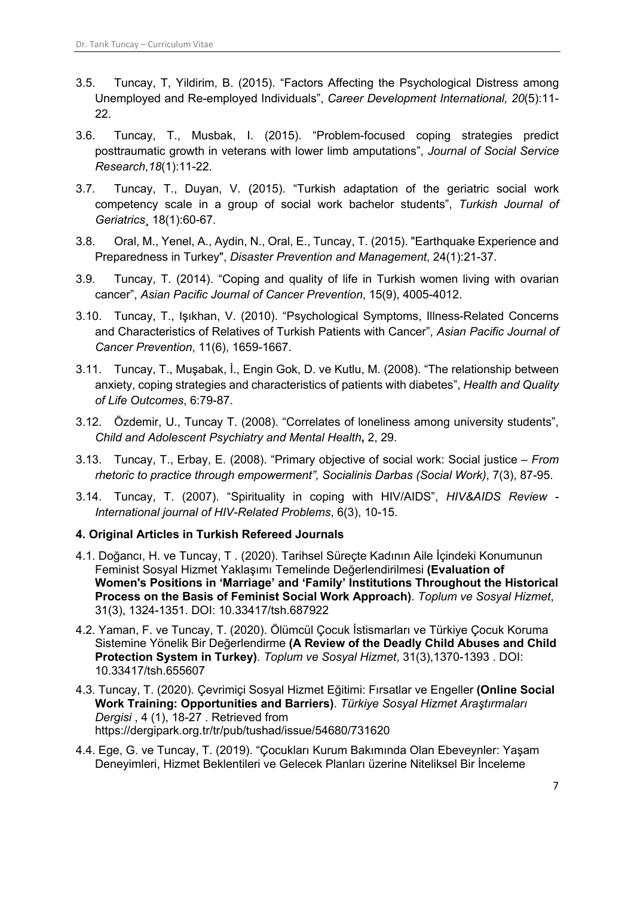- 3.5. Tuncay, T, Yildirim, B. (2015). "Factors Affecting the Psychological Distress among Unemployed and Re-employed Individuals", *Career Development International, 20*(5):11- 22.
- 3.6. Tuncay, T., Musbak, I. (2015). "Problem-focused coping strategies predict posttraumatic growth in veterans with lower limb amputations", *Journal of Social Service Research*,*18*(1):11-22.
- 3.7. Tuncay, T., Duyan, V. (2015). "Turkish adaptation of the geriatric social work competency scale in a group of social work bachelor students", *Turkish Journal of Geriatrics*¸ 18(1):60-67.
- 3.8. Oral, M., Yenel, A., Aydin, N., Oral, E., Tuncay, T. (2015). "Earthquake Experience and Preparedness in Turkey", *Disaster Prevention and Management*, 24(1):21-37.
- 3.9. Tuncay, T. (2014). "Coping and quality of life in Turkish women living with ovarian cancer", *Asian Pacific Journal of Cancer Prevention*, 15(9), 4005-4012.
- 3.10. Tuncay, T., Işıkhan, V. (2010). "Psychological Symptoms, Illness-Related Concerns and Characteristics of Relatives of Turkish Patients with Cancer", *Asian Pacific Journal of Cancer Prevention*, 11(6), 1659-1667.
- 3.11. Tuncay, T., Muşabak, İ., Engin Gok, D. ve Kutlu, M. (2008). "The relationship between anxiety, coping strategies and characteristics of patients with diabetes", *Health and Quality of Life Outcomes*, 6:79-87.
- 3.12. Özdemir, U., Tuncay T. (2008). "Correlates of loneliness among university students", *Child and Adolescent Psychiatry and Mental Health***,** 2, 29.
- 3.13. Tuncay, T., Erbay, E. (2008). "Primary objective of social work: Social justice *From rhetoric to practice through empowerment", Socialinis Darbas (Social Work)*, 7(3), 87-95.
- 3.14. Tuncay, T. (2007). "Spirituality in coping with HIV/AIDS", *HIV&AIDS Review - International journal of HIV-Related Problems*, 6(3), 10-15.

## **4. Original Articles in Turkish Refereed Journals**

- 4.1. Doğancı, H. ve Tuncay, T . (2020). Tarihsel Süreçte Kadının Aile İçindeki Konumunun Feminist Sosyal Hizmet Yaklaşımı Temelinde Değerlendirilmesi **(Evaluation of Women's Positions in 'Marriage' and 'Family' Institutions Throughout the Historical Process on the Basis of Feminist Social Work Approach)**. *Toplum ve Sosyal Hizmet*, 31(3), 1324-1351. DOI: 10.33417/tsh.687922
- 4.2. Yaman, F. ve Tuncay, T. (2020). Ölümcül Çocuk İstismarları ve Türkiye Çocuk Koruma Sistemine Yönelik Bir Değerlendirme **(A Review of the Deadly Child Abuses and Child Protection System in Turkey)**. *Toplum ve Sosyal Hizmet*, 31(3),1370-1393 . DOI: 10.33417/tsh.655607
- 4.3. Tuncay, T. (2020). Çevrimiçi Sosyal Hizmet Eğitimi: Fırsatlar ve Engeller **(Online Social Work Training: Opportunities and Barriers)**. *Türkiye Sosyal Hizmet Araştırmaları Dergisi* , 4 (1), 18-27 . Retrieved from https://dergipark.org.tr/tr/pub/tushad/issue/54680/731620
- 4.4. Ege, G. ve Tuncay, T. (2019). "Çocukları Kurum Bakımında Olan Ebeveynler: Yaşam Deneyimleri, Hizmet Beklentileri ve Gelecek Planları üzerine Niteliksel Bir İnceleme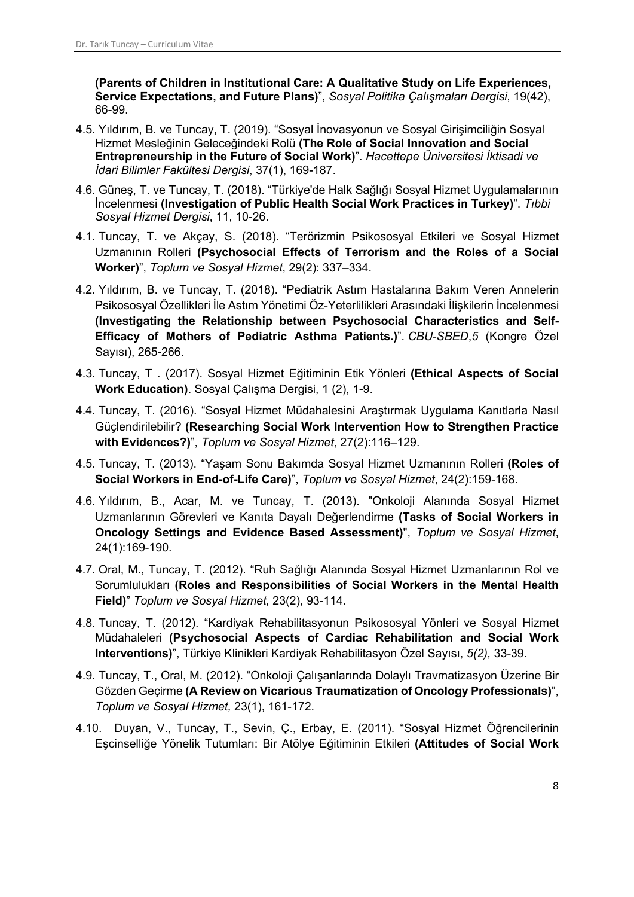**(Parents of Children in Institutional Care: A Qualitative Study on Life Experiences, Service Expectations, and Future Plans)**", *Sosyal Politika Çalışmaları Dergisi*, 19(42), 66-99.

- 4.5. Yıldırım, B. ve Tuncay, T. (2019). "Sosyal İnovasyonun ve Sosyal Girişimciliğin Sosyal Hizmet Mesleğinin Geleceğindeki Rolü **(The Role of Social Innovation and Social Entrepreneurship in the Future of Social Work)**". *Hacettepe Üniversitesi İktisadi ve İdari Bilimler Fakültesi Dergisi*, 37(1), 169-187.
- 4.6. Güneş, T. ve Tuncay, T. (2018). "Türkiye'de Halk Sağlığı Sosyal Hizmet Uygulamalarının İncelenmesi **(Investigation of Public Health Social Work Practices in Turkey)**". *Tıbbi Sosyal Hizmet Dergisi*, 11, 10-26.
- 4.1. Tuncay, T. ve Akçay, S. (2018). "Terörizmin Psikososyal Etkileri ve Sosyal Hizmet Uzmanının Rolleri **(Psychosocial Effects of Terrorism and the Roles of a Social Worker)**", *Toplum ve Sosyal Hizmet*, 29(2): 337–334.
- 4.2. Yıldırım, B. ve Tuncay, T. (2018). "Pediatrik Astım Hastalarına Bakım Veren Annelerin Psikososyal Özellikleri İle Astım Yönetimi Öz-Yeterlilikleri Arasındaki İlişkilerin İncelenmesi **(Investigating the Relationship between Psychosocial Characteristics and Self-Efficacy of Mothers of Pediatric Asthma Patients.)**". *CBU-SBED*,*5* (Kongre Özel Sayısı), 265-266.
- 4.3. Tuncay, T . (2017). Sosyal Hizmet Eğitiminin Etik Yönleri **(Ethical Aspects of Social Work Education)**. Sosyal Çalışma Dergisi, 1 (2), 1-9.
- 4.4. Tuncay, T. (2016). "Sosyal Hizmet Müdahalesini Araştırmak Uygulama Kanıtlarla Nasıl Güçlendirilebilir? **(Researching Social Work Intervention How to Strengthen Practice with Evidences?)**", *Toplum ve Sosyal Hizmet*, 27(2):116–129.
- 4.5. Tuncay, T. (2013). "Yaşam Sonu Bakımda Sosyal Hizmet Uzmanının Rolleri **(Roles of Social Workers in End-of-Life Care)**", *Toplum ve Sosyal Hizmet*, 24(2):159-168.
- 4.6. Yıldırım, B., Acar, M. ve Tuncay, T. (2013). "Onkoloji Alanında Sosyal Hizmet Uzmanlarının Görevleri ve Kanıta Dayalı Değerlendirme **(Tasks of Social Workers in Oncology Settings and Evidence Based Assessment)**", *Toplum ve Sosyal Hizmet*, 24(1):169-190.
- 4.7. Oral, M., Tuncay, T. (2012). "Ruh Sağlığı Alanında Sosyal Hizmet Uzmanlarının Rol ve Sorumlulukları **(Roles and Responsibilities of Social Workers in the Mental Health Field)**" *Toplum ve Sosyal Hizmet,* 23(2), 93-114.
- 4.8. Tuncay, T. (2012). "Kardiyak Rehabilitasyonun Psikososyal Yönleri ve Sosyal Hizmet Müdahaleleri **(Psychosocial Aspects of Cardiac Rehabilitation and Social Work Interventions)**", Türkiye Klinikleri Kardiyak Rehabilitasyon Özel Sayısı, *5(2),* 33-39*.*
- 4.9. Tuncay, T., Oral, M. (2012). "Onkoloji Çalışanlarında Dolaylı Travmatizasyon Üzerine Bir Gözden Geçirme **(A Review on Vicarious Traumatization of Oncology Professionals)**", *Toplum ve Sosyal Hizmet,* 23(1), 161-172.
- 4.10. Duyan, V., Tuncay, T., Sevin, Ç., Erbay, E. (2011). "Sosyal Hizmet Öğrencilerinin Eşcinselliğe Yönelik Tutumları: Bir Atölye Eğitiminin Etkileri **(Attitudes of Social Work**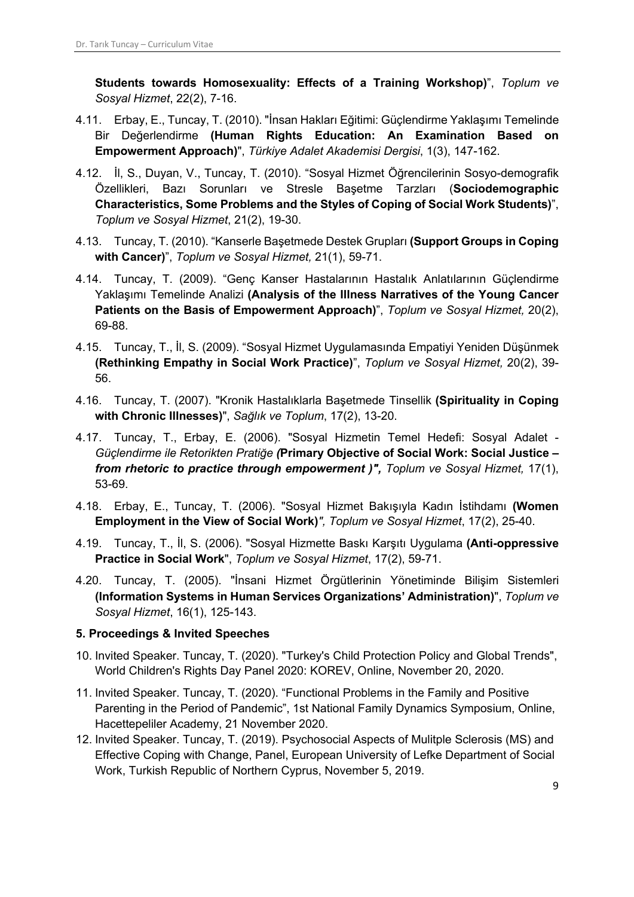**Students towards Homosexuality: Effects of a Training Workshop)**", *Toplum ve Sosyal Hizmet*, 22(2), 7-16.

- 4.11. Erbay, E., Tuncay, T. (2010). "İnsan Hakları Eğitimi: Güçlendirme Yaklaşımı Temelinde Bir Değerlendirme **(Human Rights Education: An Examination Based on Empowerment Approach)**", *Türkiye Adalet Akademisi Dergisi*, 1(3), 147-162.
- 4.12. İl, S., Duyan, V., Tuncay, T. (2010). "Sosyal Hizmet Öğrencilerinin Sosyo-demografik Özellikleri, Bazı Sorunları ve Stresle Başetme Tarzları (**Sociodemographic Characteristics, Some Problems and the Styles of Coping of Social Work Students)**", *Toplum ve Sosyal Hizmet*, 21(2), 19-30.
- 4.13. Tuncay, T. (2010). "Kanserle Başetmede Destek Grupları **(Support Groups in Coping with Cancer)**", *Toplum ve Sosyal Hizmet,* 21(1), 59-71.
- 4.14. Tuncay, T. (2009). "Genç Kanser Hastalarının Hastalık Anlatılarının Güçlendirme Yaklaşımı Temelinde Analizi **(Analysis of the Illness Narratives of the Young Cancer Patients on the Basis of Empowerment Approach)**", *Toplum ve Sosyal Hizmet,* 20(2), 69-88.
- 4.15. Tuncay, T., İl, S. (2009). "Sosyal Hizmet Uygulamasında Empatiyi Yeniden Düşünmek **(Rethinking Empathy in Social Work Practice)**", *Toplum ve Sosyal Hizmet,* 20(2), 39- 56.
- 4.16. Tuncay, T. (2007). "Kronik Hastalıklarla Başetmede Tinsellik **(Spirituality in Coping with Chronic Illnesses)**", *Sağlık ve Toplum*, 17(2), 13-20.
- 4.17. Tuncay, T., Erbay, E. (2006). "Sosyal Hizmetin Temel Hedefi: Sosyal Adalet *Güçlendirme ile Retorikten Pratiğe (***Primary Objective of Social Work: Social Justice –** *from rhetoric to practice through empowerment )", Toplum ve Sosyal Hizmet,* 17(1), 53-69.
- 4.18. Erbay, E., Tuncay, T. (2006). "Sosyal Hizmet Bakışıyla Kadın İstihdamı **(Women Employment in the View of Social Work)***", Toplum ve Sosyal Hizmet*, 17(2), 25-40.
- 4.19. Tuncay, T., İl, S. (2006). "Sosyal Hizmette Baskı Karşıtı Uygulama **(Anti-oppressive Practice in Social Work**", *Toplum ve Sosyal Hizmet*, 17(2), 59-71.
- 4.20. Tuncay, T. (2005). "İnsani Hizmet Örgütlerinin Yönetiminde Bilişim Sistemleri **(Information Systems in Human Services Organizations' Administration)**", *Toplum ve Sosyal Hizmet*, 16(1), 125-143.

## **5. Proceedings & Invited Speeches**

- 10. Invited Speaker. Tuncay, T. (2020). "Turkey's Child Protection Policy and Global Trends", World Children's Rights Day Panel 2020: KOREV, Online, November 20, 2020.
- 11. Invited Speaker. Tuncay, T. (2020). "Functional Problems in the Family and Positive Parenting in the Period of Pandemic", 1st National Family Dynamics Symposium, Online, Hacettepeliler Academy, 21 November 2020.
- 12. Invited Speaker. Tuncay, T. (2019). Psychosocial Aspects of Mulitple Sclerosis (MS) and Effective Coping with Change, Panel, European University of Lefke Department of Social Work, Turkish Republic of Northern Cyprus, November 5, 2019.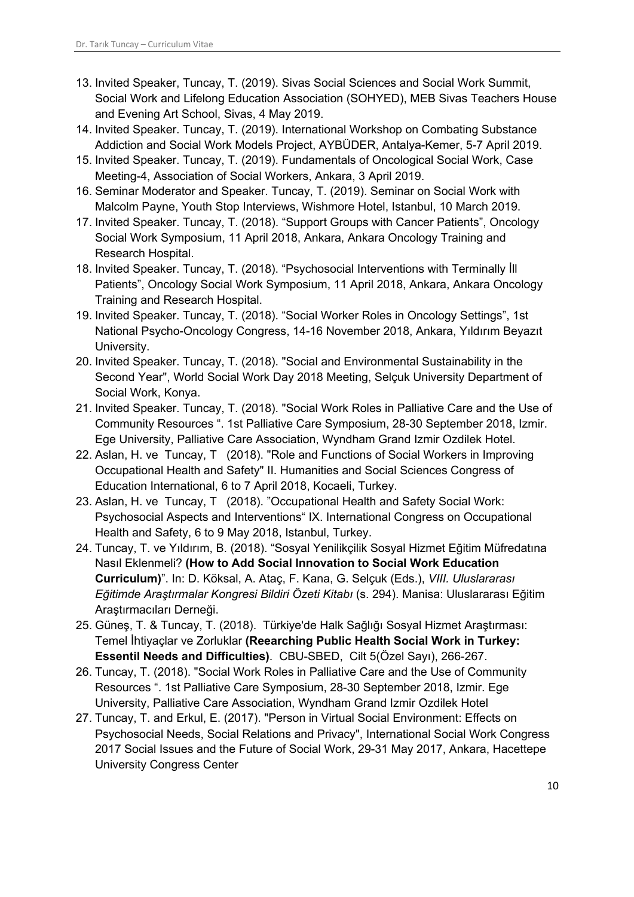- 13. Invited Speaker, Tuncay, T. (2019). Sivas Social Sciences and Social Work Summit, Social Work and Lifelong Education Association (SOHYED), MEB Sivas Teachers House and Evening Art School, Sivas, 4 May 2019.
- 14. Invited Speaker. Tuncay, T. (2019). International Workshop on Combating Substance Addiction and Social Work Models Project, AYBÜDER, Antalya-Kemer, 5-7 April 2019.
- 15. Invited Speaker. Tuncay, T. (2019). Fundamentals of Oncological Social Work, Case Meeting-4, Association of Social Workers, Ankara, 3 April 2019.
- 16. Seminar Moderator and Speaker. Tuncay, T. (2019). Seminar on Social Work with Malcolm Payne, Youth Stop Interviews, Wishmore Hotel, Istanbul, 10 March 2019.
- 17. Invited Speaker. Tuncay, T. (2018). "Support Groups with Cancer Patients", Oncology Social Work Symposium, 11 April 2018, Ankara, Ankara Oncology Training and Research Hospital.
- 18. Invited Speaker. Tuncay, T. (2018). "Psychosocial Interventions with Terminally İll Patients", Oncology Social Work Symposium, 11 April 2018, Ankara, Ankara Oncology Training and Research Hospital.
- 19. Invited Speaker. Tuncay, T. (2018). "Social Worker Roles in Oncology Settings", 1st National Psycho-Oncology Congress, 14-16 November 2018, Ankara, Yıldırım Beyazıt University.
- 20. Invited Speaker. Tuncay, T. (2018). "Social and Environmental Sustainability in the Second Year", World Social Work Day 2018 Meeting, Selçuk University Department of Social Work, Konya.
- 21. Invited Speaker. Tuncay, T. (2018). "Social Work Roles in Palliative Care and the Use of Community Resources ". 1st Palliative Care Symposium, 28-30 September 2018, Izmir. Ege University, Palliative Care Association, Wyndham Grand Izmir Ozdilek Hotel.
- 22. Aslan, H. ve Tuncay, T (2018). "Role and Functions of Social Workers in Improving Occupational Health and Safety" II. Humanities and Social Sciences Congress of Education International, 6 to 7 April 2018, Kocaeli, Turkey.
- 23. Aslan, H. ve Tuncay, T (2018). "Occupational Health and Safety Social Work: Psychosocial Aspects and Interventions" IX. International Congress on Occupational Health and Safety, 6 to 9 May 2018, Istanbul, Turkey.
- 24. Tuncay, T. ve Yıldırım, B. (2018). "Sosyal Yenilikçilik Sosyal Hizmet Eğitim Müfredatına Nasıl Eklenmeli? **(How to Add Social Innovation to Social Work Education Curriculum)**". In: D. Köksal, A. Ataç, F. Kana, G. Selçuk (Eds.), *VIII. Uluslararası Eğitimde Araştırmalar Kongresi Bildiri Özeti Kitabı* (s. 294). Manisa: Uluslararası Eğitim Araştırmacıları Derneği.
- 25. Güneş, T. & Tuncay, T. (2018). Türkiye'de Halk Sağlığı Sosyal Hizmet Araştırması: Temel İhtiyaçlar ve Zorluklar **(Reearching Public Health Social Work in Turkey: Essentil Needs and Difficulties)**. CBU-SBED, Cilt 5(Özel Sayı), 266-267.
- 26. Tuncay, T. (2018). "Social Work Roles in Palliative Care and the Use of Community Resources ". 1st Palliative Care Symposium, 28-30 September 2018, Izmir. Ege University, Palliative Care Association, Wyndham Grand Izmir Ozdilek Hotel
- 27. Tuncay, T. and Erkul, E. (2017). "Person in Virtual Social Environment: Effects on Psychosocial Needs, Social Relations and Privacy", International Social Work Congress 2017 Social Issues and the Future of Social Work, 29-31 May 2017, Ankara, Hacettepe University Congress Center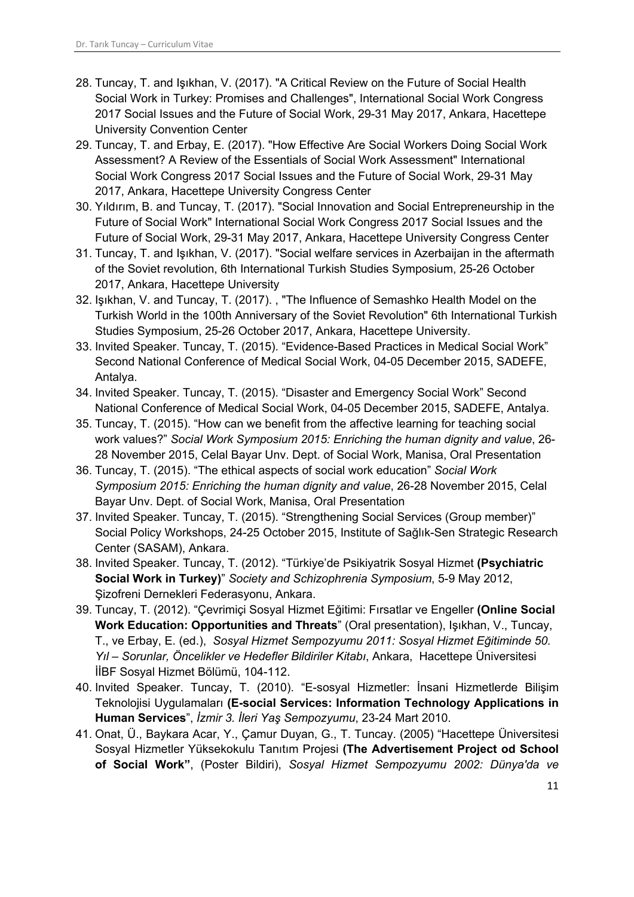- 28. Tuncay, T. and Işıkhan, V. (2017). "A Critical Review on the Future of Social Health Social Work in Turkey: Promises and Challenges", International Social Work Congress 2017 Social Issues and the Future of Social Work, 29-31 May 2017, Ankara, Hacettepe University Convention Center
- 29. Tuncay, T. and Erbay, E. (2017). "How Effective Are Social Workers Doing Social Work Assessment? A Review of the Essentials of Social Work Assessment" International Social Work Congress 2017 Social Issues and the Future of Social Work, 29-31 May 2017, Ankara, Hacettepe University Congress Center
- 30. Yıldırım, B. and Tuncay, T. (2017). "Social Innovation and Social Entrepreneurship in the Future of Social Work" International Social Work Congress 2017 Social Issues and the Future of Social Work, 29-31 May 2017, Ankara, Hacettepe University Congress Center
- 31. Tuncay, T. and Işıkhan, V. (2017). "Social welfare services in Azerbaijan in the aftermath of the Soviet revolution, 6th International Turkish Studies Symposium, 25-26 October 2017, Ankara, Hacettepe University
- 32. Işıkhan, V. and Tuncay, T. (2017). , "The Influence of Semashko Health Model on the Turkish World in the 100th Anniversary of the Soviet Revolution" 6th International Turkish Studies Symposium, 25-26 October 2017, Ankara, Hacettepe University.
- 33. Invited Speaker. Tuncay, T. (2015). "Evidence-Based Practices in Medical Social Work" Second National Conference of Medical Social Work, 04-05 December 2015, SADEFE, Antalya.
- 34. Invited Speaker. Tuncay, T. (2015). "Disaster and Emergency Social Work" Second National Conference of Medical Social Work, 04-05 December 2015, SADEFE, Antalya.
- 35. Tuncay, T. (2015). "How can we benefit from the affective learning for teaching social work values?" *Social Work Symposium 2015: Enriching the human dignity and value*, 26- 28 November 2015, Celal Bayar Unv. Dept. of Social Work, Manisa, Oral Presentation
- 36. Tuncay, T. (2015). "The ethical aspects of social work education" *Social Work Symposium 2015: Enriching the human dignity and value*, 26-28 November 2015, Celal Bayar Unv. Dept. of Social Work, Manisa, Oral Presentation
- 37. Invited Speaker. Tuncay, T. (2015). "Strengthening Social Services (Group member)" Social Policy Workshops, 24-25 October 2015, Institute of Sağlık-Sen Strategic Research Center (SASAM), Ankara.
- 38. Invited Speaker. Tuncay, T. (2012). "Türkiye'de Psikiyatrik Sosyal Hizmet **(Psychiatric Social Work in Turkey)**" *Society and Schizophrenia Symposium*, 5-9 May 2012, Şizofreni Dernekleri Federasyonu, Ankara.
- 39. Tuncay, T. (2012). "Çevrimiçi Sosyal Hizmet Eğitimi: Fırsatlar ve Engeller **(Online Social Work Education: Opportunities and Threats**" (Oral presentation), Işıkhan, V., Tuncay, T., ve Erbay, E. (ed.), *Sosyal Hizmet Sempozyumu 2011: Sosyal Hizmet Eğitiminde 50. Yıl – Sorunlar, Öncelikler ve Hedefler Bildiriler Kitabı*, Ankara, Hacettepe Üniversitesi İİBF Sosyal Hizmet Bölümü, 104-112.
- 40. Invited Speaker. Tuncay, T. (2010). "E-sosyal Hizmetler: İnsani Hizmetlerde Bilişim Teknolojisi Uygulamaları **(E-social Services: Information Technology Applications in Human Services**", *İzmir 3. İleri Yaş Sempozyumu*, 23-24 Mart 2010.
- 41. Onat, Ü., Baykara Acar, Y., Çamur Duyan, G., T. Tuncay. (2005) "Hacettepe Üniversitesi Sosyal Hizmetler Yüksekokulu Tanıtım Projesi **(The Advertisement Project od School of Social Work"**, (Poster Bildiri), *Sosyal Hizmet Sempozyumu 2002: Dünya'da ve*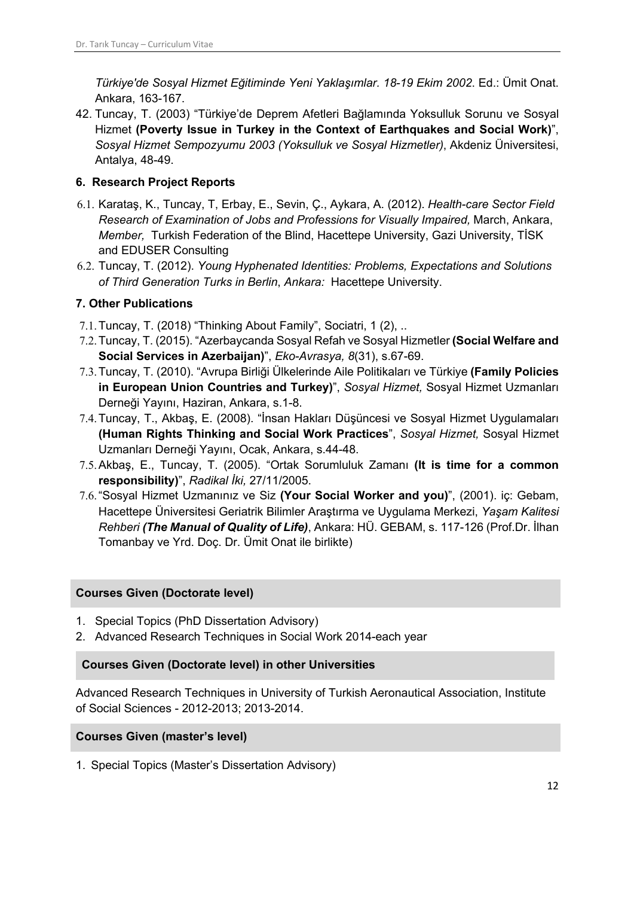*Türkiye'de Sosyal Hizmet Eğitiminde Yeni Yaklaşımlar. 18-19 Ekim 2002*. Ed.: Ümit Onat. Ankara, 163-167.

42. Tuncay, T. (2003) "Türkiye'de Deprem Afetleri Bağlamında Yoksulluk Sorunu ve Sosyal Hizmet **(Poverty Issue in Turkey in the Context of Earthquakes and Social Work)**", *Sosyal Hizmet Sempozyumu 2003 (Yoksulluk ve Sosyal Hizmetler)*, Akdeniz Üniversitesi, Antalya, 48-49.

## **6. Research Project Reports**

- 6.1. Karataş, K., Tuncay, T, Erbay, E., Sevin, Ç., Aykara, A. (2012). *Health-care Sector Field Research of Examination of Jobs and Professions for Visually Impaired,* March, Ankara, *Member,* Turkish Federation of the Blind, Hacettepe University, Gazi University, TİSK and EDUSER Consulting
- 6.2. Tuncay, T. (2012). *Young Hyphenated Identities: Problems, Expectations and Solutions of Third Generation Turks in Berlin*, *Ankara:* Hacettepe University.

# **7. Other Publications**

- 7.1.Tuncay, T. (2018) "Thinking About Family", Sociatri, 1 (2), ..
- 7.2.Tuncay, T. (2015). "Azerbaycanda Sosyal Refah ve Sosyal Hizmetler **(Social Welfare and Social Services in Azerbaijan)**", *Eko-Avrasya, 8*(31), s.67-69.
- 7.3.Tuncay, T. (2010). "Avrupa Birliği Ülkelerinde Aile Politikaları ve Türkiye **(Family Policies in European Union Countries and Turkey)**", *Sosyal Hizmet,* Sosyal Hizmet Uzmanları Derneği Yayını, Haziran, Ankara, s.1-8.
- 7.4.Tuncay, T., Akbaş, E. (2008). "İnsan Hakları Düşüncesi ve Sosyal Hizmet Uygulamaları **(Human Rights Thinking and Social Work Practices**", *Sosyal Hizmet,* Sosyal Hizmet Uzmanları Derneği Yayını, Ocak, Ankara, s.44-48.
- 7.5.Akbaş, E., Tuncay, T. (2005). "Ortak Sorumluluk Zamanı **(It is time for a common responsibility)**", *Radikal İki,* 27/11/2005.
- 7.6."Sosyal Hizmet Uzmanınız ve Siz **(Your Social Worker and you)**", (2001). iç: Gebam, Hacettepe Üniversitesi Geriatrik Bilimler Araştırma ve Uygulama Merkezi, *Yaşam Kalitesi Rehberi (The Manual of Quality of Life)*, Ankara: HÜ. GEBAM, s. 117-126 (Prof.Dr. İlhan Tomanbay ve Yrd. Doç. Dr. Ümit Onat ile birlikte)

## **Courses Given (Doctorate level)**

- 1. Special Topics (PhD Dissertation Advisory)
- 2. Advanced Research Techniques in Social Work 2014-each year

## **Courses Given (Doctorate level) in other Universities**

Advanced Research Techniques in University of Turkish Aeronautical Association, Institute of Social Sciences - 2012-2013; 2013-2014.

## **Courses Given (master's level)**

1. Special Topics (Master's Dissertation Advisory)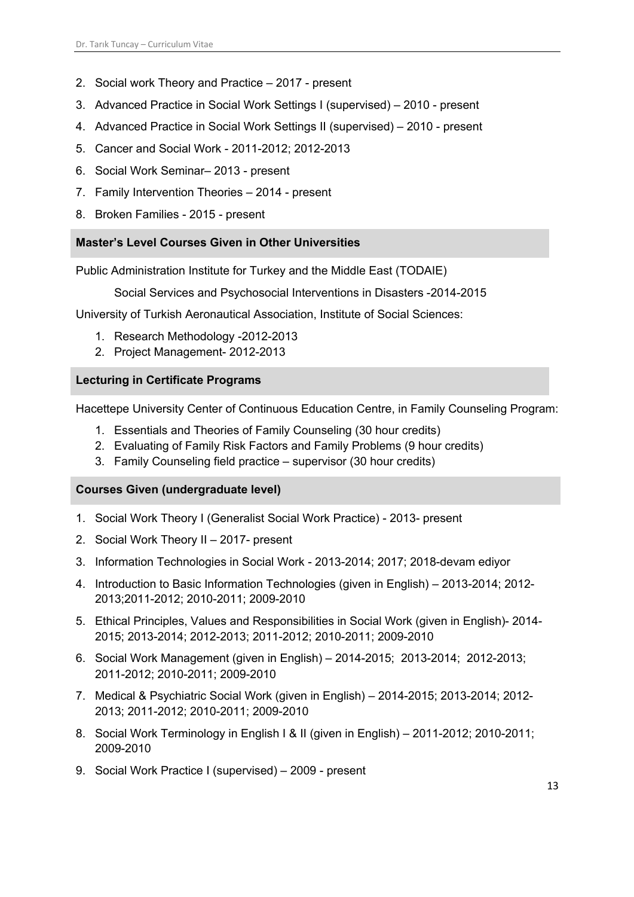- 2. Social work Theory and Practice 2017 present
- 3. Advanced Practice in Social Work Settings I (supervised) 2010 present
- 4. Advanced Practice in Social Work Settings II (supervised) 2010 present
- 5. Cancer and Social Work 2011-2012; 2012-2013
- 6. Social Work Seminar– 2013 present
- 7. Family Intervention Theories 2014 present
- 8. Broken Families 2015 present

## **Master's Level Courses Given in Other Universities**

Public Administration Institute for Turkey and the Middle East (TODAIE)

Social Services and Psychosocial Interventions in Disasters -2014-2015

University of Turkish Aeronautical Association, Institute of Social Sciences:

- 1. Research Methodology -2012-2013
- 2. Project Management- 2012-2013

## **Lecturing in Certificate Programs**

Hacettepe University Center of Continuous Education Centre, in Family Counseling Program:

- 1. Essentials and Theories of Family Counseling (30 hour credits)
- 2. Evaluating of Family Risk Factors and Family Problems (9 hour credits)
- 3. Family Counseling field practice supervisor (30 hour credits)

## **Courses Given (undergraduate level)**

- 1. Social Work Theory I (Generalist Social Work Practice) 2013- present
- 2. Social Work Theory II 2017- present
- 3. Information Technologies in Social Work 2013-2014; 2017; 2018-devam ediyor
- 4. Introduction to Basic Information Technologies (given in English) 2013-2014; 2012- 2013;2011-2012; 2010-2011; 2009-2010
- 5. Ethical Principles, Values and Responsibilities in Social Work (given in English)- 2014- 2015; 2013-2014; 2012-2013; 2011-2012; 2010-2011; 2009-2010
- 6. Social Work Management (given in English) 2014-2015; 2013-2014; 2012-2013; 2011-2012; 2010-2011; 2009-2010
- 7. Medical & Psychiatric Social Work (given in English) 2014-2015; 2013-2014; 2012- 2013; 2011-2012; 2010-2011; 2009-2010
- 8. Social Work Terminology in English I & II (given in English) 2011-2012; 2010-2011; 2009-2010
- 9. Social Work Practice I (supervised) 2009 present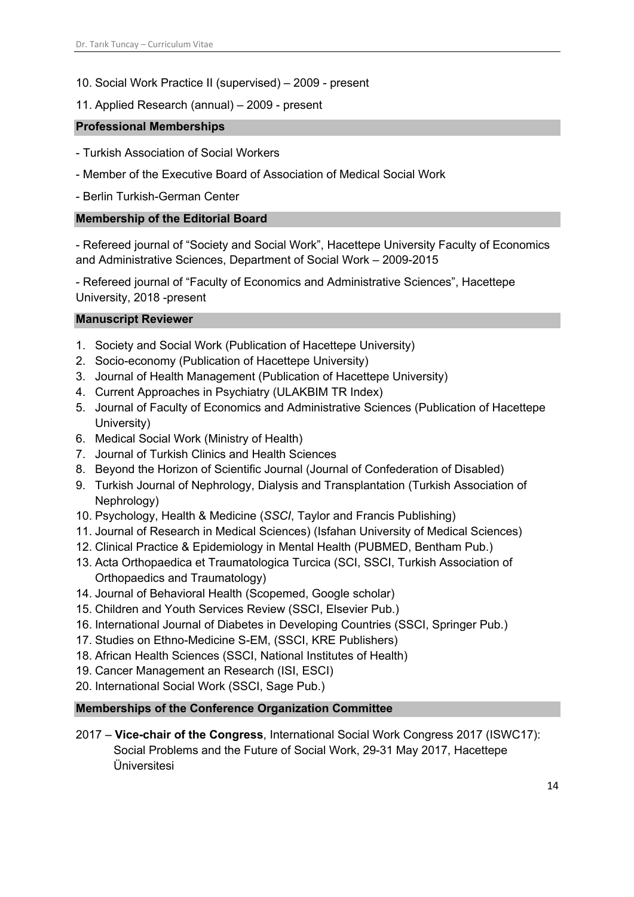- 10. Social Work Practice II (supervised) 2009 present
- 11. Applied Research (annual) 2009 present

## **Professional Memberships**

- Turkish Association of Social Workers
- Member of the Executive Board of Association of Medical Social Work
- Berlin Turkish-German Center

## **Membership of the Editorial Board**

- Refereed journal of "Society and Social Work", Hacettepe University Faculty of Economics and Administrative Sciences, Department of Social Work – 2009-2015

- Refereed journal of "Faculty of Economics and Administrative Sciences", Hacettepe University, 2018 -present

## **Manuscript Reviewer**

- 1. Society and Social Work (Publication of Hacettepe University)
- 2. Socio-economy (Publication of Hacettepe University)
- 3. Journal of Health Management (Publication of Hacettepe University)
- 4. Current Approaches in Psychiatry (ULAKBIM TR Index)
- 5. Journal of Faculty of Economics and Administrative Sciences (Publication of Hacettepe University)
- 6. Medical Social Work (Ministry of Health)
- 7. Journal of Turkish Clinics and Health Sciences
- 8. Beyond the Horizon of Scientific Journal (Journal of Confederation of Disabled)
- 9. Turkish Journal of Nephrology, Dialysis and Transplantation (Turkish Association of Nephrology)
- 10. Psychology, Health & Medicine (*SSCI*, Taylor and Francis Publishing)
- 11. Journal of Research in Medical Sciences) (Isfahan University of Medical Sciences)
- 12. Clinical Practice & Epidemiology in Mental Health (PUBMED, Bentham Pub.)
- 13. Acta Orthopaedica et Traumatologica Turcica (SCI, SSCI, Turkish Association of Orthopaedics and Traumatology)
- 14. Journal of Behavioral Health (Scopemed, Google scholar)
- 15. Children and Youth Services Review (SSCI, Elsevier Pub.)
- 16. International Journal of Diabetes in Developing Countries (SSCI, Springer Pub.)
- 17. Studies on Ethno-Medicine S-EM, (SSCI, KRE Publishers)
- 18. African Health Sciences (SSCI, National Institutes of Health)
- 19. Cancer Management an Research (ISI, ESCI)
- 20. International Social Work (SSCI, Sage Pub.)

## **Memberships of the Conference Organization Committee**

2017 – **Vice-chair of the Congress**, International Social Work Congress 2017 (ISWC17): Social Problems and the Future of Social Work, 29-31 May 2017, Hacettepe Üniversitesi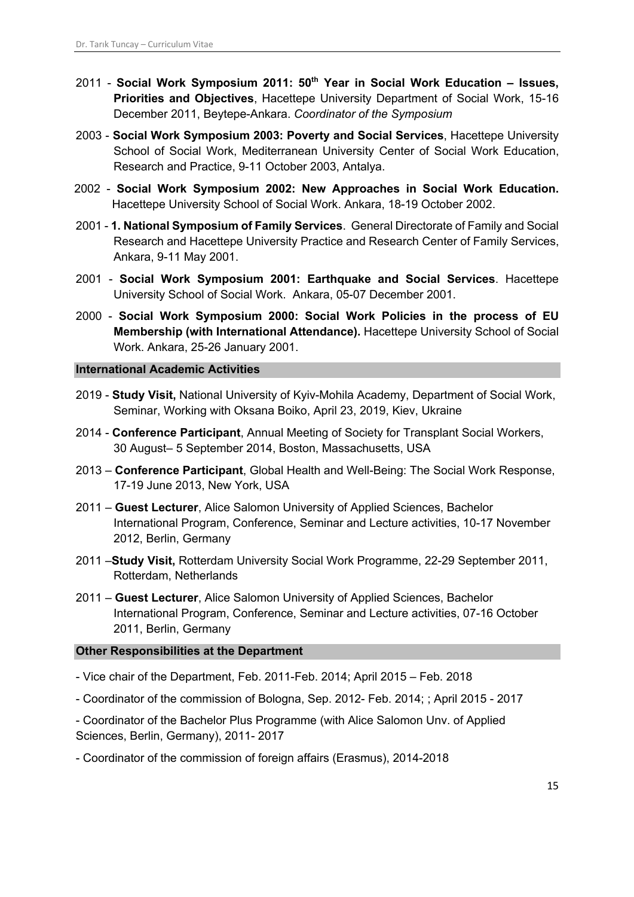- 2011 **Social Work Symposium 2011: 50th Year in Social Work Education – Issues, Priorities and Objectives**, Hacettepe University Department of Social Work, 15-16 December 2011, Beytepe-Ankara. *Coordinator of the Symposium*
- 2003 **Social Work Symposium 2003: Poverty and Social Services**, Hacettepe University School of Social Work, Mediterranean University Center of Social Work Education, Research and Practice, 9-11 October 2003, Antalya.
- 2002 **Social Work Symposium 2002: New Approaches in Social Work Education.**  Hacettepe University School of Social Work. Ankara, 18-19 October 2002.
- 2001 **1. National Symposium of Family Services**. General Directorate of Family and Social Research and Hacettepe University Practice and Research Center of Family Services, Ankara, 9-11 May 2001.
- 2001 **Social Work Symposium 2001: Earthquake and Social Services**. Hacettepe University School of Social Work. Ankara, 05-07 December 2001.
- 2000 **Social Work Symposium 2000: Social Work Policies in the process of EU Membership (with International Attendance).** Hacettepe University School of Social Work. Ankara, 25-26 January 2001.

## **International Academic Activities**

- 2019 **Study Visit,** National University of Kyiv-Mohila Academy, Department of Social Work, Seminar, Working with Oksana Boiko, April 23, 2019, Kiev, Ukraine
- 2014 **Conference Participant**, Annual Meeting of Society for Transplant Social Workers, 30 August– 5 September 2014, Boston, Massachusetts, USA
- 2013 **Conference Participant**, Global Health and Well-Being: The Social Work Response, 17-19 June 2013, New York, USA
- 2011 **Guest Lecturer**, Alice Salomon University of Applied Sciences, Bachelor International Program, Conference, Seminar and Lecture activities, 10-17 November 2012, Berlin, Germany
- 2011 –**Study Visit,** Rotterdam University Social Work Programme, 22-29 September 2011, Rotterdam, Netherlands
- 2011 **Guest Lecturer**, Alice Salomon University of Applied Sciences, Bachelor International Program, Conference, Seminar and Lecture activities, 07-16 October 2011, Berlin, Germany

## **Other Responsibilities at the Department**

- Vice chair of the Department, Feb. 2011-Feb. 2014; April 2015 Feb. 2018
- Coordinator of the commission of Bologna, Sep. 2012- Feb. 2014; ; April 2015 2017
- Coordinator of the Bachelor Plus Programme (with Alice Salomon Unv. of Applied Sciences, Berlin, Germany), 2011- 2017
- Coordinator of the commission of foreign affairs (Erasmus), 2014-2018